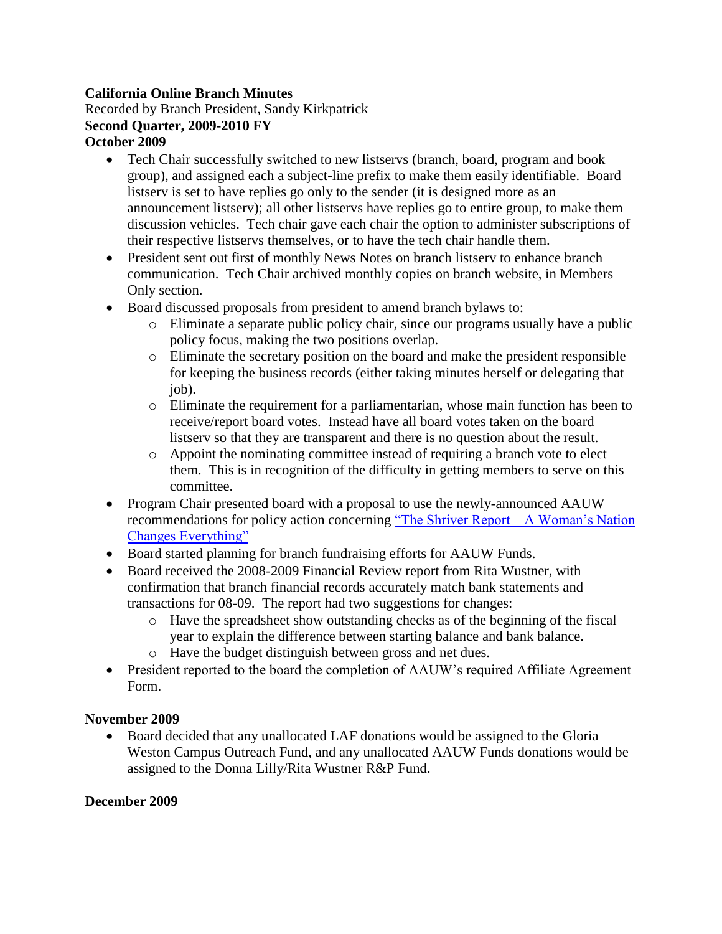## **California Online Branch Minutes**

Recorded by Branch President, Sandy Kirkpatrick **Second Quarter, 2009-2010 FY October 2009**

- Tech Chair successfully switched to new listservs (branch, board, program and book group), and assigned each a subject-line prefix to make them easily identifiable. Board listserv is set to have replies go only to the sender (it is designed more as an announcement listserv); all other listservs have replies go to entire group, to make them discussion vehicles. Tech chair gave each chair the option to administer subscriptions of their respective listservs themselves, or to have the tech chair handle them.
- President sent out first of monthly News Notes on branch listserv to enhance branch communication. Tech Chair archived monthly copies on branch website, in Members Only section.
- Board discussed proposals from president to amend branch bylaws to:
	- o Eliminate a separate public policy chair, since our programs usually have a public policy focus, making the two positions overlap.
	- o Eliminate the secretary position on the board and make the president responsible for keeping the business records (either taking minutes herself or delegating that job).
	- o Eliminate the requirement for a parliamentarian, whose main function has been to receive/report board votes. Instead have all board votes taken on the board listserv so that they are transparent and there is no question about the result.
	- o Appoint the nominating committee instead of requiring a branch vote to elect them. This is in recognition of the difficulty in getting members to serve on this committee.
- Program Chair presented board with a proposal to use the newly-announced AAUW recommendations for policy action concerning ["The Shriver Report –](http://www.aauw.org/advocacy/issue_advocacy/womansnation.cfm) A Woman's Nation [Changes Everything"](http://www.aauw.org/advocacy/issue_advocacy/womansnation.cfm)
- Board started planning for branch fundraising efforts for AAUW Funds.
- Board received the 2008-2009 Financial Review report from Rita Wustner, with confirmation that branch financial records accurately match bank statements and transactions for 08-09. The report had two suggestions for changes:
	- o Have the spreadsheet show outstanding checks as of the beginning of the fiscal year to explain the difference between starting balance and bank balance.
	- o Have the budget distinguish between gross and net dues.
- President reported to the board the completion of AAUW's required Affiliate Agreement Form.

## **November 2009**

 Board decided that any unallocated LAF donations would be assigned to the Gloria Weston Campus Outreach Fund, and any unallocated AAUW Funds donations would be assigned to the Donna Lilly/Rita Wustner R&P Fund.

## **December 2009**